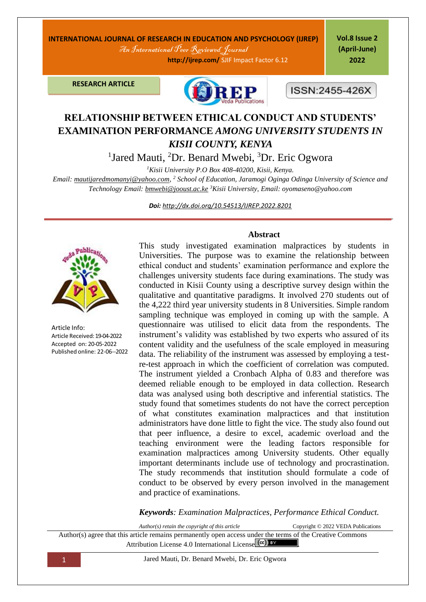## **INTERNATIONAL JOURNAL OF RESEARCH IN EDUCATION AND PSYCHOLOGY (IJREP)**

An International Peer Reviewed Journal

 **http://ijrep.com/** SJIF Impact Factor 6.12

**Vol.8 Issue 2 (April-June) 2022**

**RESEARCH ARTICLE**



ISSN:2455-426X

# **RELATIONSHIP BETWEEN ETHICAL CONDUCT AND STUDENTS' EXAMINATION PERFORMANCE** *AMONG UNIVERSITY STUDENTS IN KISII COUNTY, KENYA*

<sup>1</sup>Jared Mauti, <sup>2</sup>Dr. Benard Mwebi, <sup>3</sup>Dr. Eric Ogwora

*<sup>1</sup>Kisii University P.O Box 408-40200, Kisii, Kenya.*

*Email[: mautijaredmomanyi@yahoo.com,](mailto:mautijaredmomanyi@yahoo.com) <sup>2</sup> School of Education, Jaramogi Oginga Odinga University of Science and Technology Email: [bmwebi@jooust.ac.ke](mailto:bmwebi@jooust.ac.ke) <sup>3</sup>Kisii University, Email: oyomaseno@yahoo.com*

*Doi: <http://dx.doi.org/10.54513/IJREP.2022.8201>*



Article Info: Article Received: 19-04-2022 Accepted on: 20-05-2022 Published online: 22-06--2022

#### **Abstract**

This study investigated examination malpractices by students in Universities. The purpose was to examine the relationship between ethical conduct and students' examination performance and explore the challenges university students face during examinations. The study was conducted in Kisii County using a descriptive survey design within the qualitative and quantitative paradigms. It involved 270 students out of the 4,222 third year university students in 8 Universities. Simple random sampling technique was employed in coming up with the sample. A questionnaire was utilised to elicit data from the respondents. The instrument's validity was established by two experts who assured of its content validity and the usefulness of the scale employed in measuring data. The reliability of the instrument was assessed by employing a testre-test approach in which the coefficient of correlation was computed. The instrument yielded a Cronbach Alpha of 0.83 and therefore was deemed reliable enough to be employed in data collection. Research data was analysed using both descriptive and inferential statistics. The study found that sometimes students do not have the correct perception of what constitutes examination malpractices and that institution administrators have done little to fight the vice. The study also found out that peer influence, a desire to excel, academic overload and the teaching environment were the leading factors responsible for examination malpractices among University students. Other equally important determinants include use of technology and procrastination. The study recommends that institution should formulate a code of conduct to be observed by every person involved in the management and practice of examinations.

*Keywords: Examination Malpractices, Performance Ethical Conduct.*

*Author(s) retain the copyright of this article* Copyright © 2022 VEDA Publications Author(s) agree that this article remains permanently open access under the terms of the Creative Commons Attribution License 4[.](http://creativecommons.org/licenses/by/4.0/)0 International License  $(cc)$ 

1 Jared Mauti, Dr. Benard Mwebi, Dr. Eric Ogwora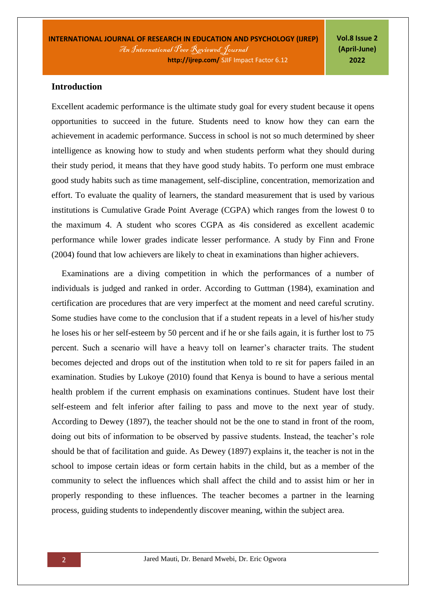**INTERNATIONAL JOURNAL OF RESEARCH IN EDUCATION AND PSYCHOLOGY (IJREP)** An International Peer Reviewed Journal  **http://ijrep.com/** SJIF Impact Factor 6.12

**Vol.8 Issue 2 (April-June) 2022**

### **Introduction**

Excellent academic performance is the ultimate study goal for every student because it opens opportunities to succeed in the future. Students need to know how they can earn the achievement in academic performance. Success in school is not so much determined by sheer intelligence as knowing how to study and when students perform what they should during their study period, it means that they have good study habits. To perform one must embrace good study habits such as time management, self-discipline, concentration, memorization and effort. To evaluate the quality of learners, the standard measurement that is used by various institutions is Cumulative Grade Point Average (CGPA) which ranges from the lowest 0 to the maximum 4. A student who scores CGPA as 4is considered as excellent academic performance while lower grades indicate lesser performance. A study by Finn and Frone (2004) found that low achievers are likely to cheat in examinations than higher achievers.

Examinations are a diving competition in which the performances of a number of individuals is judged and ranked in order. According to Guttman (1984), examination and certification are procedures that are very imperfect at the moment and need careful scrutiny. Some studies have come to the conclusion that if a student repeats in a level of his/her study he loses his or her self-esteem by 50 percent and if he or she fails again, it is further lost to 75 percent. Such a scenario will have a heavy toll on learner's character traits. The student becomes dejected and drops out of the institution when told to re sit for papers failed in an examination. Studies by Lukoye (2010) found that Kenya is bound to have a serious mental health problem if the current emphasis on examinations continues. Student have lost their self-esteem and felt inferior after failing to pass and move to the next year of study. According to Dewey (1897), the teacher should not be the one to stand in front of the room, doing out bits of information to be observed by passive students. Instead, the teacher's role should be that of facilitation and guide. As Dewey (1897) explains it, the teacher is not in the school to impose certain ideas or form certain habits in the child, but as a member of the community to select the influences which shall affect the child and to assist him or her in properly responding to these influences. The teacher becomes a partner in the learning process, guiding students to independently discover meaning, within the subject area.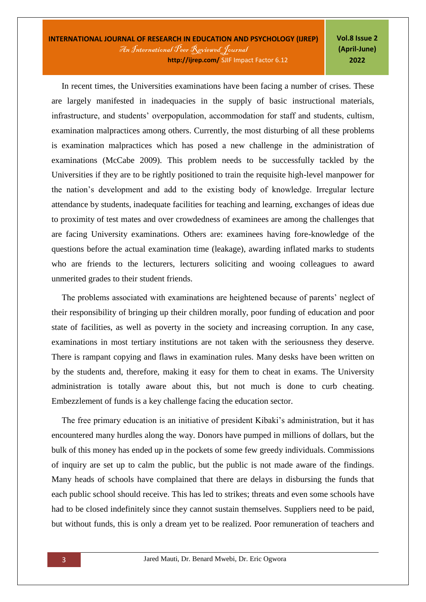In recent times, the Universities examinations have been facing a number of crises. These are largely manifested in inadequacies in the supply of basic instructional materials, infrastructure, and students' overpopulation, accommodation for staff and students, cultism, examination malpractices among others. Currently, the most disturbing of all these problems is examination malpractices which has posed a new challenge in the administration of examinations (McCabe 2009). This problem needs to be successfully tackled by the Universities if they are to be rightly positioned to train the requisite high-level manpower for the nation's development and add to the existing body of knowledge. Irregular lecture attendance by students, inadequate facilities for teaching and learning, exchanges of ideas due to proximity of test mates and over crowdedness of examinees are among the challenges that are facing University examinations. Others are: examinees having fore-knowledge of the questions before the actual examination time (leakage), awarding inflated marks to students who are friends to the lecturers, lecturers soliciting and wooing colleagues to award unmerited grades to their student friends.

The problems associated with examinations are heightened because of parents' neglect of their responsibility of bringing up their children morally, poor funding of education and poor state of facilities, as well as poverty in the society and increasing corruption. In any case, examinations in most tertiary institutions are not taken with the seriousness they deserve. There is rampant copying and flaws in examination rules. Many desks have been written on by the students and, therefore, making it easy for them to cheat in exams. The University administration is totally aware about this, but not much is done to curb cheating. Embezzlement of funds is a key challenge facing the education sector.

The free primary education is an initiative of president Kibaki's administration, but it has encountered many hurdles along the way. Donors have pumped in millions of dollars, but the bulk of this money has ended up in the pockets of some few greedy individuals. Commissions of inquiry are set up to calm the public, but the public is not made aware of the findings. Many heads of schools have complained that there are delays in disbursing the funds that each public school should receive. This has led to strikes; threats and even some schools have had to be closed indefinitely since they cannot sustain themselves. Suppliers need to be paid, but without funds, this is only a dream yet to be realized. Poor remuneration of teachers and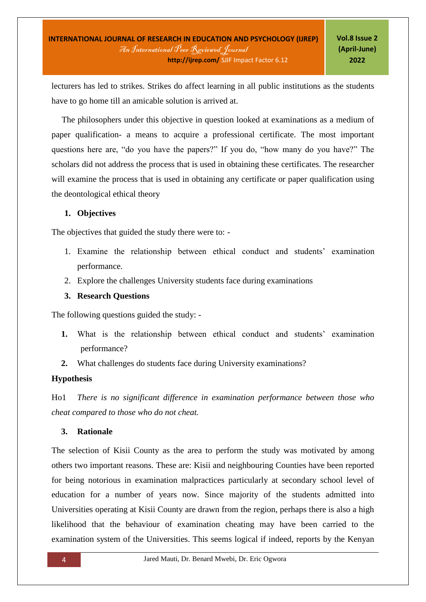lecturers has led to strikes. Strikes do affect learning in all public institutions as the students have to go home till an amicable solution is arrived at.

The philosophers under this objective in question looked at examinations as a medium of paper qualification- a means to acquire a professional certificate. The most important questions here are, "do you have the papers?" If you do, "how many do you have?" The scholars did not address the process that is used in obtaining these certificates. The researcher will examine the process that is used in obtaining any certificate or paper qualification using the deontological ethical theory

### **1. Objectives**

The objectives that guided the study there were to: -

- 1. Examine the relationship between ethical conduct and students' examination performance.
- 2. Explore the challenges University students face during examinations

### **3. Research Questions**

The following questions guided the study: -

- **1.** What is the relationship between ethical conduct and students' examination performance?
- **2.** What challenges do students face during University examinations?

### **Hypothesis**

Ho1 *There is no significant difference in examination performance between those who cheat compared to those who do not cheat.* 

### **3. Rationale**

The selection of Kisii County as the area to perform the study was motivated by among others two important reasons. These are: Kisii and neighbouring Counties have been reported for being notorious in examination malpractices particularly at secondary school level of education for a number of years now. Since majority of the students admitted into Universities operating at Kisii County are drawn from the region, perhaps there is also a high likelihood that the behaviour of examination cheating may have been carried to the examination system of the Universities. This seems logical if indeed, reports by the Kenyan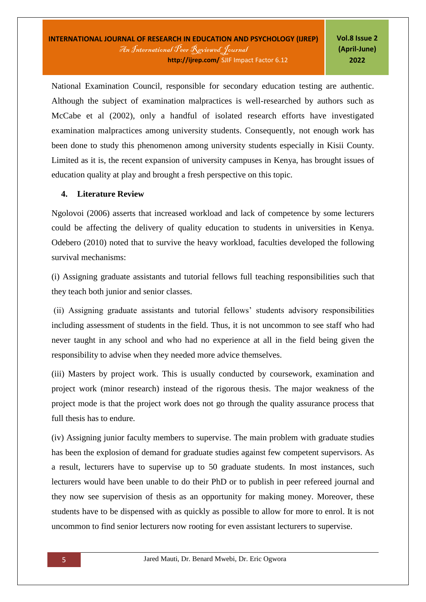National Examination Council, responsible for secondary education testing are authentic. Although the subject of examination malpractices is well-researched by authors such as McCabe et al (2002), only a handful of isolated research efforts have investigated examination malpractices among university students. Consequently, not enough work has been done to study this phenomenon among university students especially in Kisii County. Limited as it is, the recent expansion of university campuses in Kenya, has brought issues of education quality at play and brought a fresh perspective on this topic.

### **4. Literature Review**

Ngolovoi (2006) asserts that increased workload and lack of competence by some lecturers could be affecting the delivery of quality education to students in universities in Kenya. Odebero (2010) noted that to survive the heavy workload, faculties developed the following survival mechanisms:

(i) Assigning graduate assistants and tutorial fellows full teaching responsibilities such that they teach both junior and senior classes.

(ii) Assigning graduate assistants and tutorial fellows' students advisory responsibilities including assessment of students in the field. Thus, it is not uncommon to see staff who had never taught in any school and who had no experience at all in the field being given the responsibility to advise when they needed more advice themselves.

(iii) Masters by project work. This is usually conducted by coursework, examination and project work (minor research) instead of the rigorous thesis. The major weakness of the project mode is that the project work does not go through the quality assurance process that full thesis has to endure.

(iv) Assigning junior faculty members to supervise. The main problem with graduate studies has been the explosion of demand for graduate studies against few competent supervisors. As a result, lecturers have to supervise up to 50 graduate students. In most instances, such lecturers would have been unable to do their PhD or to publish in peer refereed journal and they now see supervision of thesis as an opportunity for making money. Moreover, these students have to be dispensed with as quickly as possible to allow for more to enrol. It is not uncommon to find senior lecturers now rooting for even assistant lecturers to supervise.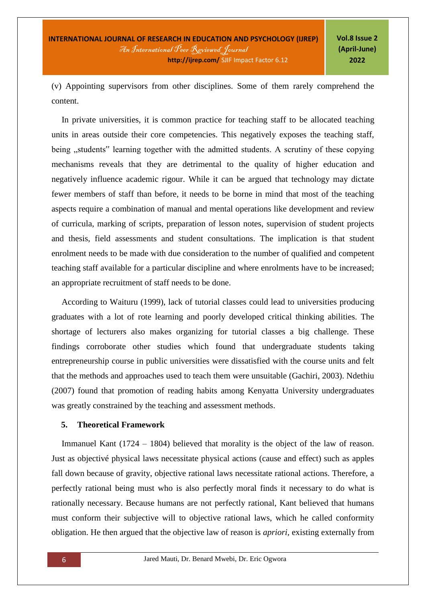(v) Appointing supervisors from other disciplines. Some of them rarely comprehend the content.

In private universities, it is common practice for teaching staff to be allocated teaching units in areas outside their core competencies. This negatively exposes the teaching staff, being "students" learning together with the admitted students. A scrutiny of these copying mechanisms reveals that they are detrimental to the quality of higher education and negatively influence academic rigour. While it can be argued that technology may dictate fewer members of staff than before, it needs to be borne in mind that most of the teaching aspects require a combination of manual and mental operations like development and review of curricula, marking of scripts, preparation of lesson notes, supervision of student projects and thesis, field assessments and student consultations. The implication is that student enrolment needs to be made with due consideration to the number of qualified and competent teaching staff available for a particular discipline and where enrolments have to be increased; an appropriate recruitment of staff needs to be done.

According to Waituru (1999), lack of tutorial classes could lead to universities producing graduates with a lot of rote learning and poorly developed critical thinking abilities. The shortage of lecturers also makes organizing for tutorial classes a big challenge. These findings corroborate other studies which found that undergraduate students taking entrepreneurship course in public universities were dissatisfied with the course units and felt that the methods and approaches used to teach them were unsuitable (Gachiri, 2003). Ndethiu (2007) found that promotion of reading habits among Kenyatta University undergraduates was greatly constrained by the teaching and assessment methods.

### **5. Theoretical Framework**

Immanuel Kant (1724 – 1804) believed that morality is the object of the law of reason. Just as objectivé physical laws necessitate physical actions (cause and effect) such as apples fall down because of gravity, objective rational laws necessitate rational actions. Therefore, a perfectly rational being must who is also perfectly moral finds it necessary to do what is rationally necessary. Because humans are not perfectly rational, Kant believed that humans must conform their subjective will to objective rational laws, which he called conformity obligation. He then argued that the objective law of reason is *apriori,* existing externally from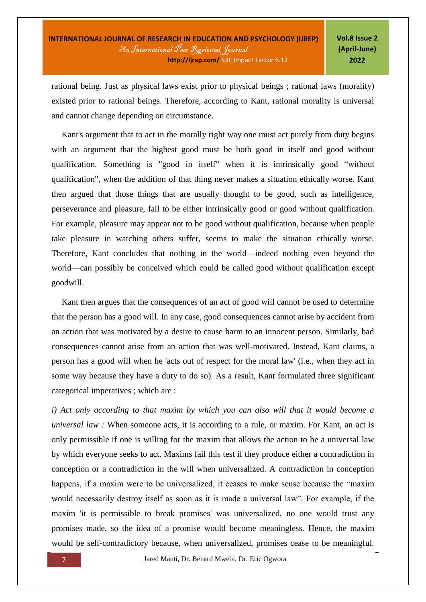rational being. Just as physical laws exist prior to physical beings ; rational laws (morality) existed prior to rational beings. Therefore, according to Kant, rational morality is universal and cannot change depending on circumstance.

Kant's argument that to act in the morally right way one must act purely from duty begins with an argument that the highest good must be both good in itself and good without qualification. Something is "good in itself" when it is intrinsically good "without qualification", when the addition of that thing never makes a situation ethically worse. Kant then argued that those things that are usually thought to be good, such as intelligence, perseverance and pleasure, fail to be either intrinsically good or good without qualification. For example, pleasure may appear not to be good without qualification, because when people take pleasure in watching others suffer, seems to make the situation ethically worse. Therefore, Kant concludes that nothing in the world—indeed nothing even beyond the world—can possibly be conceived which could be called good without qualification except goodwill.

Kant then argues that the consequences of an act of good will cannot be used to determine that the person has a good will. In any case, good consequences cannot arise by accident from an action that was motivated by a desire to cause harm to an innocent person. Similarly, bad consequences cannot arise from an action that was well-motivated. Instead, Kant claims, a person has a good will when he 'acts out of respect for the moral law' (i.e., when they act in some way because they have a duty to do so). As a result, Kant formulated three significant categorical imperatives ; which are :

*i) Act only according to that maxim by which you can also will that it would become a universal law :* When someone acts, it is according to a rule, or maxim. For Kant, an act is only permissible if one is willing for the maxim that allows the action to be a universal law by which everyone seeks to act. Maxims fail this test if they produce either a contradiction in conception or a contradiction in the will when universalized. A contradiction in conception happens, if a maxim were to be universalized, it ceases to make sense because the "maxim would necessarily destroy itself as soon as it is made a universal law". For example, if the maxim 'it is permissible to break promises' was universalized, no one would trust any promises made, so the idea of a promise would become meaningless. Hence, the maxim would be self-contradictory because, when universalized, promises cease to be meaningful.

7 Jared Mauti, Dr. Benard Mwebi, Dr. Eric Ogwora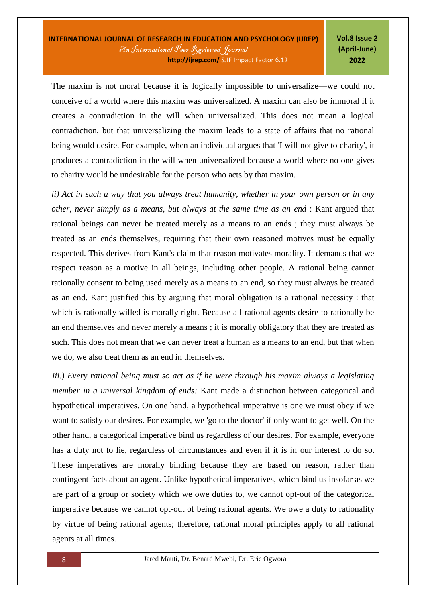The maxim is not moral because it is logically impossible to universalize—we could not conceive of a world where this maxim was universalized. A maxim can also be immoral if it creates a contradiction in the will when universalized. This does not mean a logical contradiction, but that universalizing the maxim leads to a state of affairs that no rational being would desire. For example, when an individual argues that 'I will not give to charity', it produces a contradiction in the will when universalized because a world where no one gives to charity would be undesirable for the person who acts by that maxim.

*ii) Act in such a way that you always treat humanity, whether in your own person or in any other, never simply as a means, but always at the same time as an end* : Kant argued that rational beings can never be treated merely as a means to an ends ; they must always be treated as an ends themselves, requiring that their own reasoned motives must be equally respected. This derives from Kant's claim that reason motivates morality. It demands that we respect reason as a motive in all beings, including other people. A rational being cannot rationally consent to being used merely as a means to an end, so they must always be treated as an end. Kant justified this by arguing that moral obligation is a rational necessity : that which is rationally willed is morally right. Because all rational agents desire to rationally be an end themselves and never merely a means ; it is morally obligatory that they are treated as such. This does not mean that we can never treat a human as a means to an end, but that when we do, we also treat them as an end in themselves.

*iii.) Every rational being must so act as if he were through his maxim always a legislating member in a universal kingdom of ends:* Kant made a distinction between categorical and hypothetical imperatives. On one hand, a hypothetical imperative is one we must obey if we want to satisfy our desires. For example, we 'go to the doctor' if only want to get well. On the other hand, a categorical imperative bind us regardless of our desires. For example, everyone has a duty not to lie, regardless of circumstances and even if it is in our interest to do so. These imperatives are morally binding because they are based on reason, rather than contingent facts about an agent. Unlike hypothetical imperatives, which bind us insofar as we are part of a group or society which we owe duties to, we cannot opt-out of the categorical imperative because we cannot opt-out of being rational agents. We owe a duty to rationality by virtue of being rational agents; therefore, rational moral principles apply to all rational agents at all times.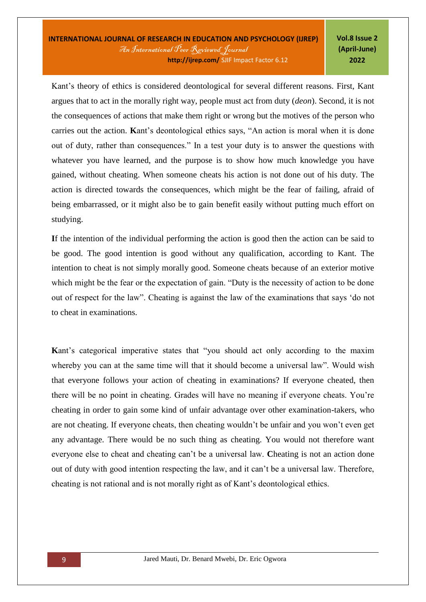Kant's theory of ethics is considered deontological for several different reasons. First, Kant argues that to act in the morally right way, people must act from duty (*deon*). Second, it is not the consequences of actions that make them right or wrong but the motives of the person who carries out the action. **K**ant's deontological ethics says, "An action is moral when it is done out of duty, rather than consequences." In a test your duty is to answer the questions with whatever you have learned, and the purpose is to show how much knowledge you have gained, without cheating. When someone cheats his action is not done out of his duty. The action is directed towards the consequences, which might be the fear of failing, afraid of being embarrassed, or it might also be to gain benefit easily without putting much effort on studying.

**I**f the intention of the individual performing the action is good then the action can be said to be good. The good intention is good without any qualification, according to Kant. The intention to cheat is not simply morally good. Someone cheats because of an exterior motive which might be the fear or the expectation of gain. "Duty is the necessity of action to be done out of respect for the law". Cheating is against the law of the examinations that says 'do not to cheat in examinations.

**K**ant's categorical imperative states that "you should act only according to the maxim whereby you can at the same time will that it should become a universal law". Would wish that everyone follows your action of cheating in examinations? If everyone cheated, then there will be no point in cheating. Grades will have no meaning if everyone cheats. You're cheating in order to gain some kind of unfair advantage over other examination-takers, who are not cheating. If everyone cheats, then cheating wouldn't be unfair and you won't even get any advantage. There would be no such thing as cheating. You would not therefore want everyone else to cheat and cheating can't be a universal law. **C**heating is not an action done out of duty with good intention respecting the law, and it can't be a universal law. Therefore, cheating is not rational and is not morally right as of Kant's deontological ethics.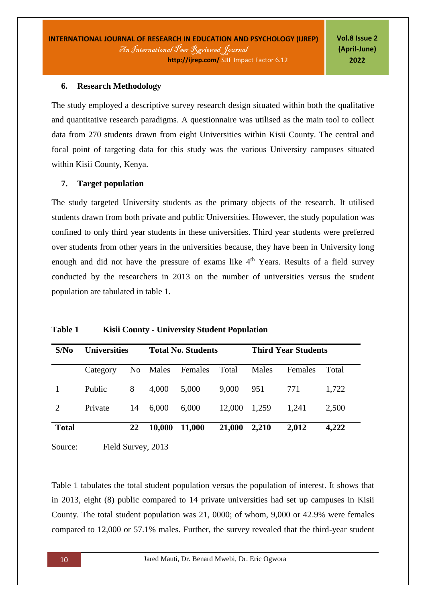### **6. Research Methodology**

The study employed a descriptive survey research design situated within both the qualitative and quantitative research paradigms. A questionnaire was utilised as the main tool to collect data from 270 students drawn from eight Universities within Kisii County. The central and focal point of targeting data for this study was the various University campuses situated within Kisii County, Kenya.

### **7. Target population**

The study targeted University students as the primary objects of the research. It utilised students drawn from both private and public Universities. However, the study population was confined to only third year students in these universities. Third year students were preferred over students from other years in the universities because, they have been in University long enough and did not have the pressure of exams like 4<sup>th</sup> Years. Results of a field survey conducted by the researchers in 2013 on the number of universities versus the student population are tabulated in table 1.

| S/No         | <b>Universities</b> |                | <b>Total No. Students</b> |         |        | <b>Third Year Students</b> |                |       |
|--------------|---------------------|----------------|---------------------------|---------|--------|----------------------------|----------------|-------|
|              | Category            | N <sub>0</sub> | Males                     | Females | Total  | Males                      | <b>Females</b> | Total |
|              | Public              | 8              | 4,000                     | 5,000   | 9,000  | 951                        | 771            | 1,722 |
| 2            | Private             | 14             | 6,000                     | 6,000   | 12,000 | 1,259                      | 1,241          | 2,500 |
| <b>Total</b> |                     | 22             | 10,000                    | 11,000  | 21,000 | 2,210                      | 2,012          | 4,222 |
| Source:      | Field Survey, 2013  |                |                           |         |        |                            |                |       |

**Table 1 Kisii County - University Student Population** 

Table 1 tabulates the total student population versus the population of interest. It shows that in 2013, eight (8) public compared to 14 private universities had set up campuses in Kisii County. The total student population was 21, 0000; of whom, 9,000 or 42.9% were females compared to 12,000 or 57.1% males. Further, the survey revealed that the third-year student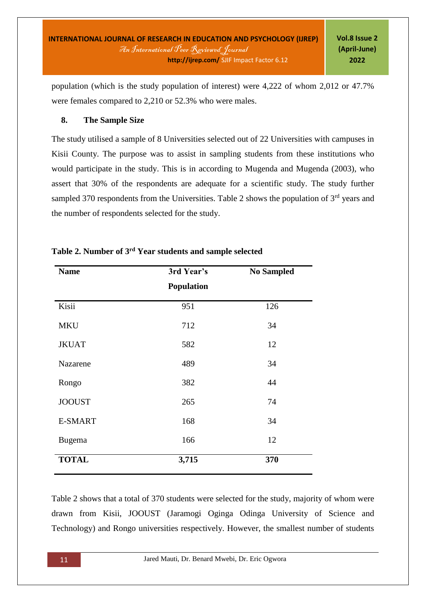population (which is the study population of interest) were 4,222 of whom 2,012 or 47.7% were females compared to 2,210 or 52.3% who were males.

### **8. The Sample Size**

The study utilised a sample of 8 Universities selected out of 22 Universities with campuses in Kisii County. The purpose was to assist in sampling students from these institutions who would participate in the study. This is in according to Mugenda and Mugenda (2003), who assert that 30% of the respondents are adequate for a scientific study. The study further sampled 370 respondents from the Universities. Table 2 shows the population of  $3<sup>rd</sup>$  years and the number of respondents selected for the study.

| <b>Name</b>    | 3rd Year's        | <b>No Sampled</b> |
|----------------|-------------------|-------------------|
|                | <b>Population</b> |                   |
| Kisii          | 951               | 126               |
| <b>MKU</b>     | 712               | 34                |
| <b>JKUAT</b>   | 582               | 12                |
| Nazarene       | 489               | 34                |
| Rongo          | 382               | 44                |
| <b>JOOUST</b>  | 265               | 74                |
| <b>E-SMART</b> | 168               | 34                |
| <b>Bugema</b>  | 166               | 12                |
| <b>TOTAL</b>   | 3,715             | 370               |

### **Table 2. Number of 3rd Year students and sample selected**

Table 2 shows that a total of 370 students were selected for the study, majority of whom were drawn from Kisii, JOOUST (Jaramogi Oginga Odinga University of Science and Technology) and Rongo universities respectively. However, the smallest number of students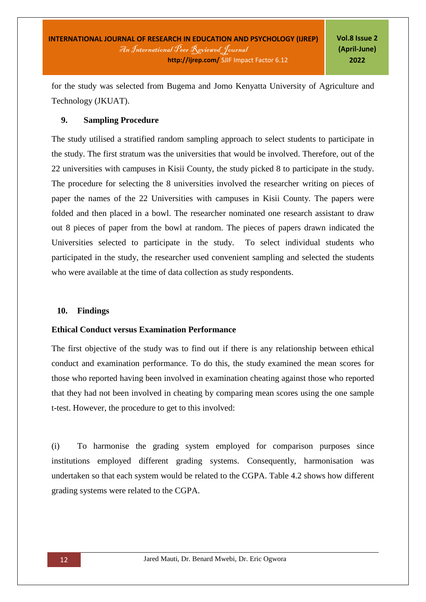for the study was selected from Bugema and Jomo Kenyatta University of Agriculture and Technology (JKUAT).

### **9. Sampling Procedure**

The study utilised a stratified random sampling approach to select students to participate in the study. The first stratum was the universities that would be involved. Therefore, out of the 22 universities with campuses in Kisii County, the study picked 8 to participate in the study. The procedure for selecting the 8 universities involved the researcher writing on pieces of paper the names of the 22 Universities with campuses in Kisii County. The papers were folded and then placed in a bowl. The researcher nominated one research assistant to draw out 8 pieces of paper from the bowl at random. The pieces of papers drawn indicated the Universities selected to participate in the study. To select individual students who participated in the study, the researcher used convenient sampling and selected the students who were available at the time of data collection as study respondents.

### **10. Findings**

### **Ethical Conduct versus Examination Performance**

The first objective of the study was to find out if there is any relationship between ethical conduct and examination performance. To do this, the study examined the mean scores for those who reported having been involved in examination cheating against those who reported that they had not been involved in cheating by comparing mean scores using the one sample t-test. However, the procedure to get to this involved:

(i) To harmonise the grading system employed for comparison purposes since institutions employed different grading systems. Consequently, harmonisation was undertaken so that each system would be related to the CGPA. Table 4.2 shows how different grading systems were related to the CGPA.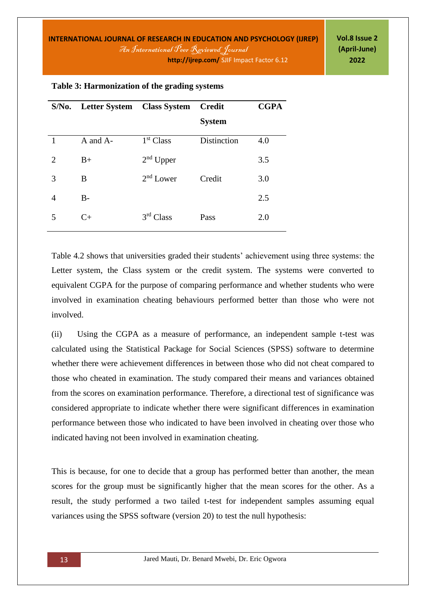| S/No.                       | Letter System Class System |                       | <b>Credit</b> | <b>CGPA</b> |
|-----------------------------|----------------------------|-----------------------|---------------|-------------|
|                             |                            |                       | <b>System</b> |             |
| 1                           | A and A-                   | 1 <sup>st</sup> Class | Distinction   | 4.0         |
| $\mathcal{D}_{\mathcal{L}}$ | $B+$                       | $2nd$ Upper           |               | 3.5         |
| 3                           | B                          | $2nd$ Lower           | Credit        | 3.0         |
| 4                           | $B -$                      |                       |               | 2.5         |
| 5                           | $C+$                       | 3 <sup>rd</sup> Class | Pass          | 2.0         |

#### **Table 3: Harmonization of the grading systems**

Table 4.2 shows that universities graded their students' achievement using three systems: the Letter system, the Class system or the credit system. The systems were converted to equivalent CGPA for the purpose of comparing performance and whether students who were involved in examination cheating behaviours performed better than those who were not involved.

(ii) Using the CGPA as a measure of performance, an independent sample t-test was calculated using the Statistical Package for Social Sciences (SPSS) software to determine whether there were achievement differences in between those who did not cheat compared to those who cheated in examination. The study compared their means and variances obtained from the scores on examination performance. Therefore, a directional test of significance was considered appropriate to indicate whether there were significant differences in examination performance between those who indicated to have been involved in cheating over those who indicated having not been involved in examination cheating.

This is because, for one to decide that a group has performed better than another, the mean scores for the group must be significantly higher that the mean scores for the other. As a result, the study performed a two tailed t-test for independent samples assuming equal variances using the SPSS software (version 20) to test the null hypothesis: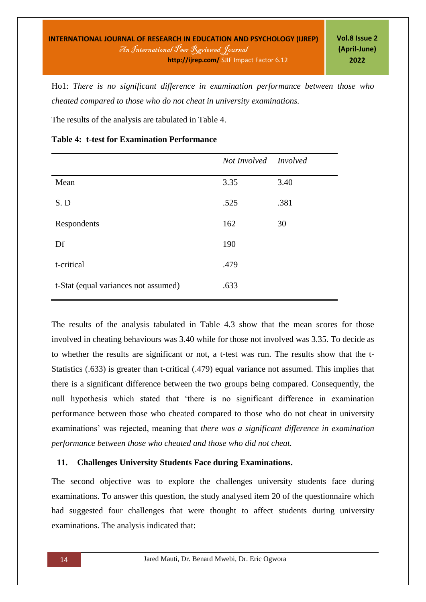Ho1: *There is no significant difference in examination performance between those who cheated compared to those who do not cheat in university examinations.*

The results of the analysis are tabulated in Table 4.

|                                      | Not Involved Involved |      |
|--------------------------------------|-----------------------|------|
| Mean                                 | 3.35                  | 3.40 |
| S.D                                  | .525                  | .381 |
| Respondents                          | 162                   | 30   |
| Df                                   | 190                   |      |
| t-critical                           | .479                  |      |
| t-Stat (equal variances not assumed) | .633                  |      |

**Table 4: t-test for Examination Performance**

The results of the analysis tabulated in Table 4.3 show that the mean scores for those involved in cheating behaviours was 3.40 while for those not involved was 3.35. To decide as to whether the results are significant or not, a t-test was run. The results show that the t-Statistics (.633) is greater than t-critical (.479) equal variance not assumed. This implies that there is a significant difference between the two groups being compared. Consequently, the null hypothesis which stated that 'there is no significant difference in examination performance between those who cheated compared to those who do not cheat in university examinations' was rejected, meaning that *there was a significant difference in examination performance between those who cheated and those who did not cheat.* 

# **11. Challenges University Students Face during Examinations.**

The second objective was to explore the challenges university students face during examinations. To answer this question, the study analysed item 20 of the questionnaire which had suggested four challenges that were thought to affect students during university examinations. The analysis indicated that: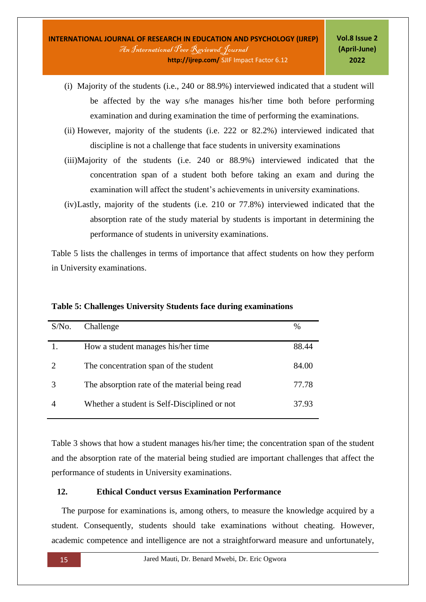- (i) Majority of the students (i.e., 240 or 88.9%) interviewed indicated that a student will be affected by the way s/he manages his/her time both before performing examination and during examination the time of performing the examinations.
- (ii) However, majority of the students (i.e. 222 or 82.2%) interviewed indicated that discipline is not a challenge that face students in university examinations
- (iii)Majority of the students (i.e. 240 or 88.9%) interviewed indicated that the concentration span of a student both before taking an exam and during the examination will affect the student's achievements in university examinations.
- (iv)Lastly, majority of the students (i.e. 210 or 77.8%) interviewed indicated that the absorption rate of the study material by students is important in determining the performance of students in university examinations.

Table 5 lists the challenges in terms of importance that affect students on how they perform in University examinations.

| $S/N0$ . | Challenge                                      | %     |
|----------|------------------------------------------------|-------|
|          | How a student manages his/her time             | 88.44 |
|          | The concentration span of the student          | 84.00 |
|          | The absorption rate of the material being read | 77.78 |
|          | Whether a student is Self-Disciplined or not   | 37.93 |

**Table 5: Challenges University Students face during examinations**

Table 3 shows that how a student manages his/her time; the concentration span of the student and the absorption rate of the material being studied are important challenges that affect the performance of students in University examinations.

### **12. Ethical Conduct versus Examination Performance**

The purpose for examinations is, among others, to measure the knowledge acquired by a student. Consequently, students should take examinations without cheating. However, academic competence and intelligence are not a straightforward measure and unfortunately,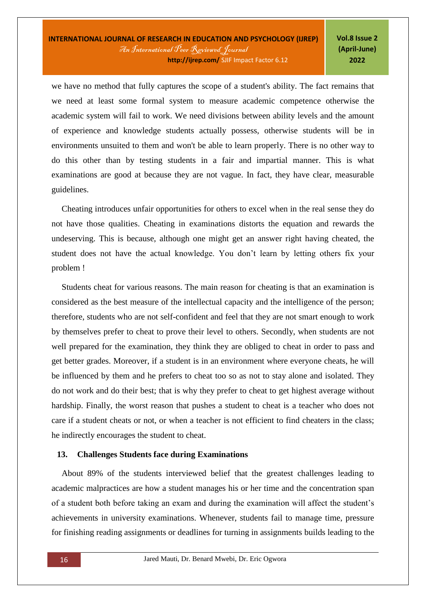we have no method that fully captures the scope of a student's ability. The fact remains that we need at least some formal system to measure academic competence otherwise the academic system will fail to work. We need divisions between ability levels and the amount of experience and knowledge students actually possess, otherwise students will be in environments unsuited to them and won't be able to learn properly. There is no other way to do this other than by testing students in a fair and impartial manner. This is what examinations are good at because they are not vague. In fact, they have clear, measurable guidelines.

Cheating introduces unfair opportunities for others to excel when in the real sense they do not have those qualities. Cheating in examinations distorts the equation and rewards the undeserving. This is because, although one might get an answer right having cheated, the student does not have the actual knowledge. You don't learn by letting others fix your problem !

Students cheat for various reasons. The main reason for cheating is that an examination is considered as the best measure of the intellectual capacity and the intelligence of the person; therefore, students who are not self-confident and feel that they are not smart enough to work by themselves prefer to cheat to prove their level to others. Secondly, when students are not well prepared for the examination, they think they are obliged to cheat in order to pass and get better grades. Moreover, if a student is in an environment where everyone cheats, he will be influenced by them and he prefers to cheat too so as not to stay alone and isolated. They do not work and do their best; that is why they prefer to cheat to get highest average without hardship. Finally, the worst reason that pushes a student to cheat is a teacher who does not care if a student cheats or not, or when a teacher is not efficient to find cheaters in the class; he indirectly encourages the student to cheat.

### **13. Challenges Students face during Examinations**

About 89% of the students interviewed belief that the greatest challenges leading to academic malpractices are how a student manages his or her time and the concentration span of a student both before taking an exam and during the examination will affect the student's achievements in university examinations. Whenever, students fail to manage time, pressure for finishing reading assignments or deadlines for turning in assignments builds leading to the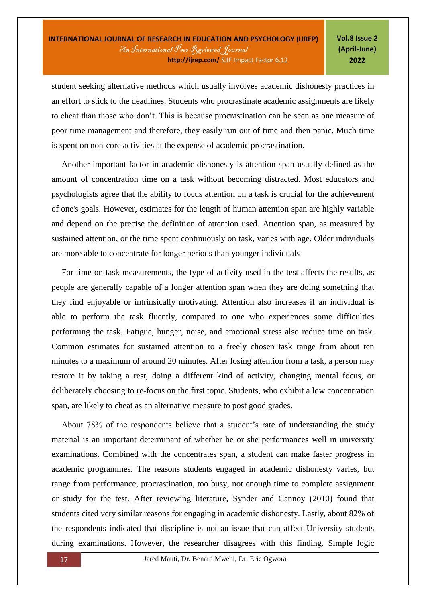student seeking alternative methods which usually involves academic dishonesty practices in an effort to stick to the deadlines. Students who procrastinate academic assignments are likely to cheat than those who don't. This is because procrastination can be seen as one measure of poor time management and therefore, they easily run out of time and then panic. Much time is spent on non-core activities at the expense of academic procrastination.

Another important factor in academic dishonesty is attention span usually defined as the amount of concentration time on a task without becoming distracted. Most educators and psychologists agree that the ability to focus attention on a task is crucial for the achievement of one's goals. However, estimates for the length of human attention span are highly variable and depend on the precise the definition of attention used. Attention span, as measured by sustained attention, or the time spent continuously on task, varies with age. Older individuals are more able to concentrate for longer periods than younger individuals

For time-on-task measurements, the type of activity used in the test affects the results, as people are generally capable of a longer attention span when they are doing something that they find enjoyable or intrinsically motivating. Attention also increases if an individual is able to perform the task fluently, compared to one who experiences some difficulties performing the task. Fatigue, hunger, noise, and emotional stress also reduce time on task. Common estimates for sustained attention to a freely chosen task range from about ten minutes to a maximum of around 20 minutes. After losing attention from a task, a person may restore it by taking a rest, doing a different kind of activity, changing mental focus, or deliberately choosing to re-focus on the first topic. Students, who exhibit a low concentration span, are likely to cheat as an alternative measure to post good grades.

About 78% of the respondents believe that a student's rate of understanding the study material is an important determinant of whether he or she performances well in university examinations. Combined with the concentrates span, a student can make faster progress in academic programmes. The reasons students engaged in academic dishonesty varies, but range from performance, procrastination, too busy, not enough time to complete assignment or study for the test. After reviewing literature, Synder and Cannoy (2010) found that students cited very similar reasons for engaging in academic dishonesty. Lastly, about 82% of the respondents indicated that discipline is not an issue that can affect University students during examinations. However, the researcher disagrees with this finding. Simple logic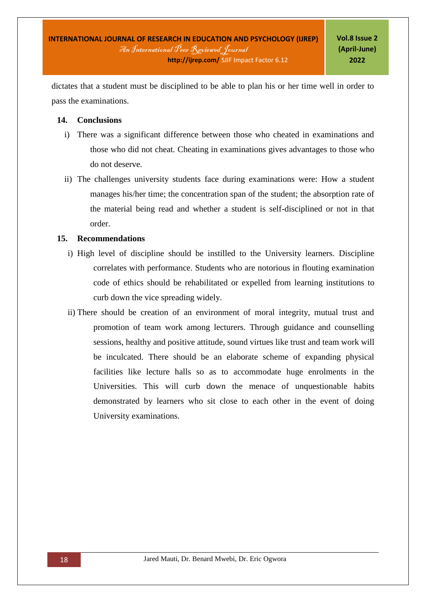dictates that a student must be disciplined to be able to plan his or her time well in order to pass the examinations.

### **14. Conclusions**

- i) There was a significant difference between those who cheated in examinations and those who did not cheat. Cheating in examinations gives advantages to those who do not deserve.
- ii) The challenges university students face during examinations were: How a student manages his/her time; the concentration span of the student; the absorption rate of the material being read and whether a student is self-disciplined or not in that order.

### **15. Recommendations**

- i) High level of discipline should be instilled to the University learners. Discipline correlates with performance. Students who are notorious in flouting examination code of ethics should be rehabilitated or expelled from learning institutions to curb down the vice spreading widely.
- ii) There should be creation of an environment of moral integrity, mutual trust and promotion of team work among lecturers. Through guidance and counselling sessions, healthy and positive attitude, sound virtues like trust and team work will be inculcated. There should be an elaborate scheme of expanding physical facilities like lecture halls so as to accommodate huge enrolments in the Universities. This will curb down the menace of unquestionable habits demonstrated by learners who sit close to each other in the event of doing University examinations.